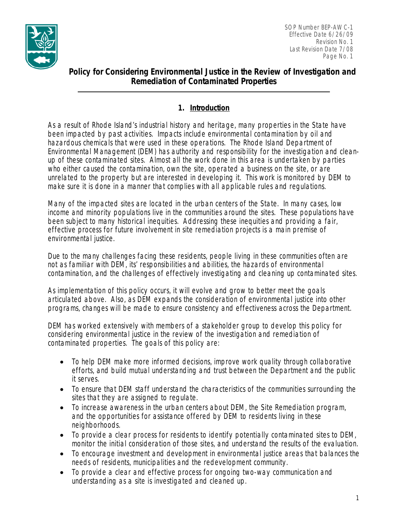

 SOP Number BEP-AWC-1 Effective Date 6/26/09 **Revision No. 1** Revision No. 1 Last Revision Date 7/08 Page No. 1

# **Policy for Considering Environmental Justice in the Review of Investigation and Remediation of Contaminated Properties**

# **1. Introduction**

As a result of Rhode Island's industrial history and heritage, many properties in the State have been impacted by past activities. Impacts include environmental contamination by oil and hazardous chemicals that were used in these operations. The Rhode Island Department of Environmental Management (DEM) has authority and responsibility for the investigation and cleanup of these contaminated sites. Almost all the work done in this area is undertaken by parties who either caused the contamination, own the site, operated a business on the site, or are unrelated to the property but are interested in developing it. This work is monitored by DEM to make sure it is done in a manner that complies with all applicable rules and regulations.

Many of the impacted sites are located in the urban centers of the State. In many cases, low income and minority populations live in the communities around the sites. These populations have been subject to many historical inequities. Addressing these inequities and providing a fair, effective process for future involvement in site remediation projects is a main premise of environmental justice.

Due to the many challenges facing these residents, people living in these communities often are not as familiar with DEM, its' responsibilities and abilities, the hazards of environmental contamination, and the challenges of effectively investigating and cleaning up contaminated sites.

As implementation of this policy occurs, it will evolve and grow to better meet the goals articulated above. Also, as DEM expands the consideration of environmental justice into other programs, changes will be made to ensure consistency and effectiveness across the Department.

DEM has worked extensively with members of a stakeholder group to develop this policy for considering environmental justice in the review of the investigation and remediation of contaminated properties. The goals of this policy are:

- To help DEM make more informed decisions, improve work quality through collaborative efforts, and build mutual understanding and trust between the Department and the public it serves.
- To ensure that DEM staff understand the characteristics of the communities surrounding the sites that they are assigned to regulate.
- To increase awareness in the urban centers about DEM, the Site Remediation program, and the opportunities for assistance offered by DEM to residents living in these neighborhoods.
- To provide a clear process for residents to identify potentially contaminated sites to DEM, monitor the initial consideration of those sites, and understand the results of the evaluation.
- To encourage investment and development in environmental justice areas that balances the needs of residents, municipalities and the redevelopment community.
- To provide a clear and effective process for ongoing two-way communication and understanding as a site is investigated and cleaned up.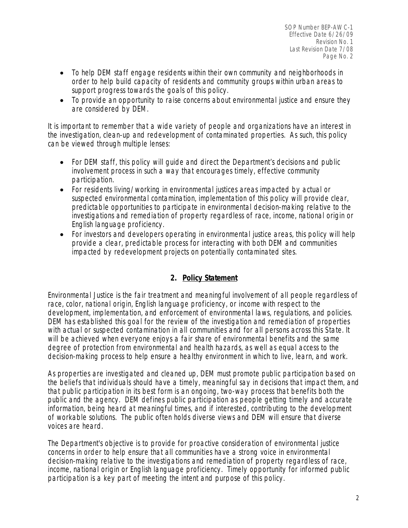- To help DEM staff engage residents within their own community and neighborhoods in order to help build capacity of residents and community groups within urban areas to support progress towards the goals of this policy.
- To provide an opportunity to raise concerns about environmental justice and ensure they are considered by DEM.

It is important to remember that a wide variety of people and organizations have an interest in the investigation, clean-up and redevelopment of contaminated properties. As such, this policy can be viewed through multiple lenses:

- For DEM staff, this policy will quide and direct the Department's decisions and public involvement process in such a way that encourages timely, effective community participation.
- For residents living/working in environmental justices areas impacted by actual or suspected environmental contamination, implementation of this policy will provide clear, predictable opportunities to participate in environmental decision-making relative to the investigations and remediation of property regardless of race, income, national origin or English language proficiency.
- For investors and developers operating in environmental justice areas, this policy will help provide a clear, predictable process for interacting with both DEM and communities impacted by redevelopment projects on potentially contaminated sites.

## **2. Policy Statement**

Environmental Justice is the fair treatment and meaningful involvement of all people regardless of race, color, national origin, English language proficiency, or income with respect to the development, implementation, and enforcement of environmental laws, regulations, and policies. DEM has established this goal for the review of the investigation and remediation of properties with actual or suspected contamination in all communities and for all persons across this State. It will be achieved when everyone enjoys a fair share of environmental benefits and the same degree of protection from environmental and health hazards, as well as equal access to the decision-making process to help ensure a healthy environment in which to live, learn, and work.

As properties are investigated and cleaned up, DEM must promote public participation based on the beliefs that individuals should have a timely, meaningful say in decisions that impact them, and that public participation in its best form is an ongoing, two-way process that benefits both the public and the agency. DEM defines public participation as people getting timely and accurate information, being heard at meaningful times, and if interested, contributing to the development of workable solutions. The public often holds diverse views and DEM will ensure that diverse voices are heard.

The Department's objective is to provide for proactive consideration of environmental justice concerns in order to help ensure that all communities have a strong voice in environmental decision-making relative to the investigations and remediation of property regardless of race, income, national origin or English language proficiency. Timely opportunity for informed public participation is a key part of meeting the intent and purpose of this policy.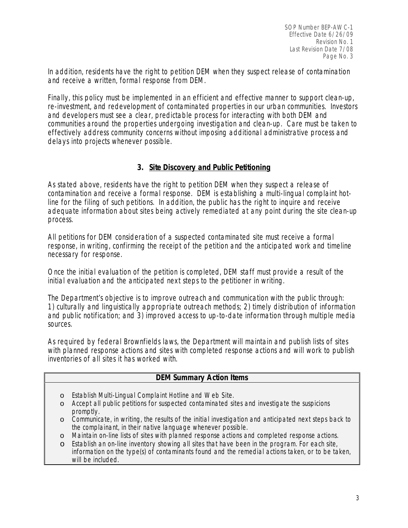In addition, residents have the right to petition DEM when they suspect release of contamination and receive a written, formal response from DEM.

Finally, this policy must be implemented in an efficient and effective manner to support clean-up, re-investment, and redevelopment of contaminated properties in our urban communities. Investors and developers must see a clear, predictable process for interacting with both DEM and communities around the properties undergoing investigation and clean-up. Care must be taken to effectively address community concerns without imposing additional administrative process and delays into projects whenever possible.

## **3. Site Discovery and Public Petitioning**

As stated above, residents have the right to petition DEM when they suspect a release of contamination and receive a formal response. DEM is establishing a multi-lingual complaint hotline for the filing of such petitions. In addition, the public has the right to inquire and receive adequate information about sites being actively remediated at any point during the site clean-up process.

All petitions for DEM consideration of a suspected contaminated site must receive a formal response, in writing, confirming the receipt of the petition and the anticipated work and timeline necessary for response.

Once the initial evaluation of the petition is completed, DEM staff must provide a result of the initial evaluation and the anticipated next steps to the petitioner in writing.

The Department's objective is to improve outreach and communication with the public through: 1) culturally and linguistically appropriate outreach methods; 2) timely distribution of information and public notification; and 3) improved access to up-to-date information through multiple media sources.

As required by federal Brownfields laws, the Department will maintain and publish lists of sites with planned response actions and sites with completed response actions and will work to publish inventories of all sites it has worked with.

#### **DEM Summary Action Items**

- o Establish Multi-Lingual Complaint Hotline and Web Site.
- o Accept all public petitions for suspected contaminated sites and investigate the suspicions promptly.
- o Communicate, in writing, the results of the initial investigation and anticipated next steps back to the complainant, in their native language whenever possible.
- o Maintain on-line lists of sites with planned response actions and completed response actions.
- o Establish an on-line inventory showing all sites that have been in the program. For each site, information on the type(s) of contaminants found and the remedial actions taken, or to be taken, will be included.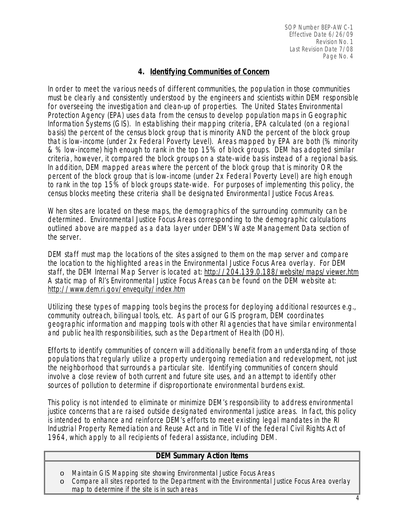## **4. Identifying Communities of Concern**

In order to meet the various needs of different communities, the population in those communities must be clearly and consistently understood by the engineers and scientists within DEM responsible for overseeing the investigation and clean-up of properties. The United States Environmental Protection Agency (EPA) uses data from the census to develop population maps in Geographic Information Systems (GIS). In establishing their mapping criteria, EPA calculated (on a regional basis) the percent of the census block group that is minority AND the percent of the block group that is low-income (under 2x Federal Poverty Level). Areas mapped by EPA are both (% minority & % low-income) high enough to rank in the top 15% of block groups. DEM has adopted similar criteria, however, it compared the block groups on a state-wide basis instead of a regional basis. In addition, DEM mapped areas where the percent of the block group that is minority OR the percent of the block group that is low-income (under 2x Federal Poverty Level) are high enough to rank in the top 15% of block groups state-wide. For purposes of implementing this policy, the census blocks meeting these criteria shall be designated Environmental Justice Focus Areas.

When sites are located on these maps, the demographics of the surrounding community can be determined. Environmental Justice Focus Areas corresponding to the demographic calculations outlined above are mapped as a data layer under DEM's Waste Management Data section of the server.

DEM staff must map the locations of the sites assigned to them on the map server and compare the location to the highlighted areas in the Environmental Justice Focus Area overlay. For DEM staff, the DEM Internal Map Server is located at: *<http://204.139.0.188/website/maps/viewer.htm>* A static map of RI's Environmental Justice Focus Areas can be found on the DEM website at: *<http://www.dem.ri.gov/envequity/index.htm>*

Utilizing these types of mapping tools begins the process for deploying additional resources e.g., community outreach, bilingual tools, etc. As part of our GIS program, DEM coordinates geographic information and mapping tools with other RI agencies that have similar environmental and public health responsibilities, such as the Department of Health (DOH).

Efforts to identify communities of concern will additionally benefit from an understanding of those populations that regularly utilize a property undergoing remediation and redevelopment, not just the neighborhood that surrounds a particular site. Identifying communities of concern should involve a close review of both current and future site uses, and an attempt to identify other sources of pollution to determine if disproportionate environmental burdens exist.

This policy is not intended to eliminate or minimize DEM's responsibility to address environmental justice concerns that are raised outside designated environmental justice areas. In fact, this policy is intended to enhance and reinforce DEM's efforts to meet existing legal mandates in the RI Industrial Property Remediation and Reuse Act and in Title VI of the federal Civil Rights Act of 1964, which apply to all recipients of federal assistance, including DEM.

#### **DEM Summary Action Items**

- o Maintain GIS Mapping site showing Environmental Justice Focus Areas
- o Compare all sites reported to the Department with the Environmental Justice Focus Area overlay map to determine if the site is in such areas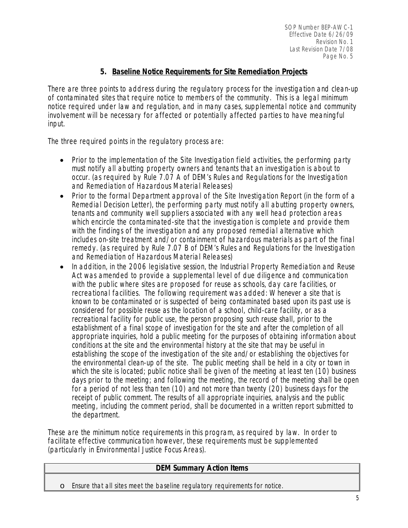## **5. Baseline Notice Requirements for Site Remediation Projects**

There are three points to address during the regulatory process for the investigation and clean-up of contaminated sites that require notice to members of the community. This is a legal minimum notice required under law and regulation, and in many cases, supplemental notice and community involvement will be necessary for affected or potentially affected parties to have meaningful input.

The three required points in the regulatory process are:

- Prior to the implementation of the Site Investigation field activities, the performing party must notify all abutting property owners and tenants that an investigation is about to occur. (as required by Rule 7.07 A of DEM's Rules and Regulations for the Investigation and Remediation of Hazardous Material Releases)
- Prior to the formal Department approval of the Site Investigation Report (in the form of a Remedial Decision Letter), the performing party must notify all abutting property owners, tenants and community well suppliers associated with any well head protection areas which encircle the contaminated-site that the investigation is complete and provide them with the findings of the investigation and any proposed remedial alternative which includes on-site treatment and/or containment of hazardous materials as part of the final remedy. (as required by Rule 7.07 B of DEM's Rules and Regulations for the Investigation and Remediation of Hazardous Material Releases)
- In addition, in the 2006 legislative session, the Industrial Property Remediation and Reuse Act was amended to provide a supplemental level of due diligence and communication with the public where sites are proposed for reuse as schools, day care facilities, or recreational facilities. The following requirement was added: *Whenever a site that is known to be contaminated or is suspected of being contaminated based upon its past use is considered for possible reuse as the location of a school, child-care facility, or as a recreational facility for public use, the person proposing such reuse shall, prior to the establishment of a final scope of investigation for the site and after the completion of all appropriate inquiries, hold a public meeting for the purposes of obtaining information about conditions at the site and the environmental history at the site that may be useful in establishing the scope of the investigation of the site and/or establishing the objectives for the environmental clean-up of the site. The public meeting shall be held in a city or town in which the site is located; public notice shall be given of the meeting at least ten (10) business days prior to the meeting; and following the meeting, the record of the meeting shall be open for a period of not less than ten (10) and not more than twenty (20) business days for the receipt of public comment. The results of all appropriate inquiries, analysis and the public meeting, including the comment period, shall be documented in a written report submitted to the department.*

These are the minimum notice requirements in this program, as required by law. In order to facilitate effective communication however, these requirements must be supplemented (particularly in Environmental Justice Focus Areas).

### **DEM Summary Action Items**

o Ensure that all sites meet the baseline regulatory requirements for notice.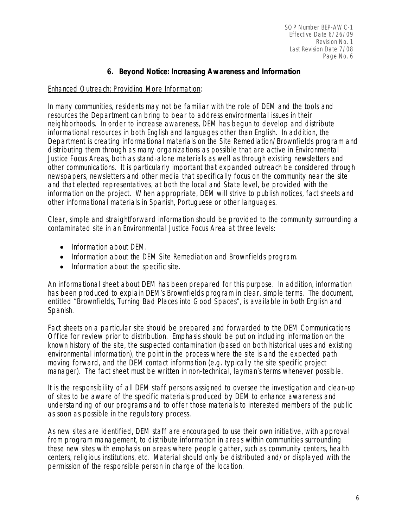## **6. Beyond Notice: Increasing Awareness and Information**

### Enhanced Outreach: Providing More Information:

In many communities, residents may not be familiar with the role of DEM and the tools and resources the Department can bring to bear to address environmental issues in their neighborhoods. In order to increase awareness, DEM has begun to develop and distribute informational resources in both English and languages other than English. In addition, the Department is creating informational materials on the Site Remediation/Brownfields program and distributing them through as many organizations as possible that are active in Environmental Justice Focus Areas, both as stand-alone materials as well as through existing newsletters and other communications. It is particularly important that expanded outreach be considered through newspapers, newsletters and other media that specifically focus on the community near the site and that elected representatives, at both the local and State level, be provided with the information on the project. When appropriate, DEM will strive to publish notices, fact sheets and other informational materials in Spanish, Portuguese or other languages.

Clear, simple and straightforward information should be provided to the community surrounding a contaminated site in an Environmental Justice Focus Area at three levels:

- Information about DEM.
- Information about the DEM Site Remediation and Brownfields program.
- Information about the specific site.

An informational sheet about DEM has been prepared for this purpose. In addition, information has been produced to explain DEM's Brownfields program in clear, simple terms. The document, entitled "Brownfields, Turning Bad Places into Good Spaces", is available in both English and Spanish.

Fact sheets on a particular site should be prepared and forwarded to the DEM Communications Office for review prior to distribution. Emphasis should be put on including information on the known history of the site, the suspected contamination (based on both historical uses and existing environmental information), the point in the process where the site is and the expected path moving forward, and the DEM contact information (e.g. typically the site specific project manager). The fact sheet must be written in non-technical, layman's terms whenever possible.

It is the responsibility of all DEM staff persons assigned to oversee the investigation and clean-up of sites to be aware of the specific materials produced by DEM to enhance awareness and understanding of our programs and to offer those materials to interested members of the public as soon as possible in the regulatory process.

As new sites are identified, DEM staff are encouraged to use their own initiative, with approval from program management, to distribute information in areas within communities surrounding these new sites with emphasis on areas where people gather, such as community centers, health centers, religious institutions, etc. Material should only be distributed and/or displayed with the permission of the responsible person in charge of the location.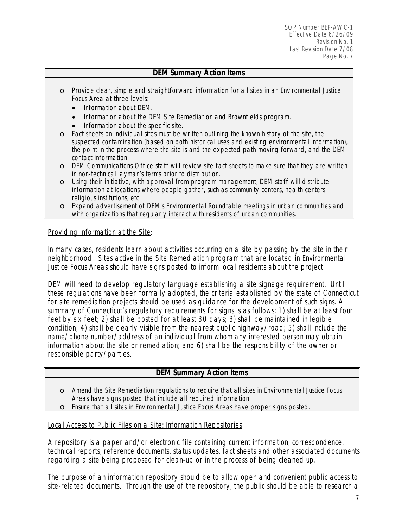#### **DEM Summary Action Items**

- o Provide clear, simple and straightforward information for all sites in an Environmental Justice Focus Area at three levels:
	- Information about DEM.
	- Information about the DEM Site Remediation and Brownfields program.
	- Information about the specific site.
- o Fact sheets on individual sites must be written outlining the known history of the site, the suspected contamination (based on both historical uses and existing environmental information), the point in the process where the site is and the expected path moving forward, and the DEM contact information.
- o DEM Communications Office staff will review site fact sheets to make sure that they are written in non-technical layman's terms prior to distribution.
- o Using their initiative, with approval from program management, DEM staff will distribute information at locations where people gather, such as community centers, health centers, religious institutions, etc.
- o Expand advertisement of DEM's Environmental Roundtable meetings in urban communities and with organizations that regularly interact with residents of urban communities.

#### Providing Information at the Site:

In many cases, residents learn about activities occurring on a site by passing by the site in their neighborhood. Sites active in the Site Remediation program that are located in Environmental Justice Focus Areas should have signs posted to inform local residents about the project.

DEM will need to develop regulatory language establishing a site signage requirement. Until these regulations have been formally adopted, the criteria established by the state of Connecticut for site remediation projects should be used as guidance for the development of such signs. A summary of Connecticut's regulatory requirements for signs is as follows: 1) shall be at least four feet by six feet; 2) shall be posted for at least 30 days; 3) shall be maintained in legible condition; 4) shall be clearly visible from the nearest public highway/road; 5) shall include the name/phone number/address of an individual from whom any interested person may obtain information about the site or remediation; and 6) shall be the responsibility of the owner or responsible party/parties.

### **DEM Summary Action Items**

- o Amend the Site Remediation regulations to require that all sites in Environmental Justice Focus Areas have signs posted that include all required information.
- o Ensure that all sites in Environmental Justice Focus Areas have proper signs posted.

#### Local Access to Public Files on a Site: Information Repositories

A repository is a paper and/or electronic file containing current information, correspondence, technical reports, reference documents, status updates, fact sheets and other associated documents regarding a site being proposed for clean-up or in the process of being cleaned up.

The purpose of an information repository should be to allow open and convenient public access to site-related documents. Through the use of the repository, the public should be able to research a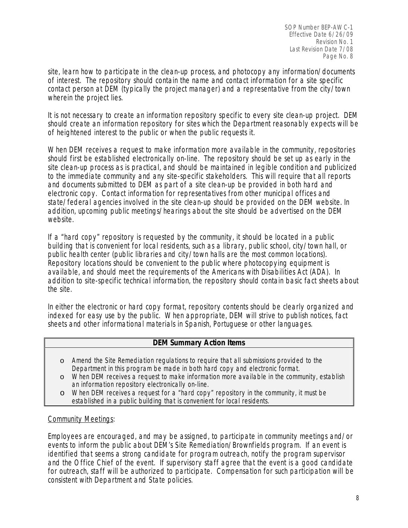SOP Number BEP-AWC-1 Effective Date 6/26/09 Revision No. 1 Last Revision Date 7/08 Page No. 8

site, learn how to participate in the clean-up process, and photocopy any information/documents of interest. The repository should contain the name and contact information for a site specific contact person at DEM (typically the project manager) and a representative from the city/town wherein the project lies.

It is not necessary to create an information repository specific to every site clean-up project. DEM should create an information repository for sites which the Department reasonably expects will be of heightened interest to the public or when the public requests it.

When DEM receives a request to make information more available in the community, repositories should first be established electronically on-line. The repository should be set up as early in the site clean-up process as is practical, and should be maintained in legible condition and publicized to the immediate community and any site-specific stakeholders. This will require that all reports and documents submitted to DEM as part of a site clean-up be provided in both hard and electronic copy. Contact information for representatives from other municipal offices and state/federal agencies involved in the site clean-up should be provided on the DEM website. In addition, upcoming public meetings/hearings about the site should be advertised on the DEM website.

If a "hard copy" repository is requested by the community, it should be located in a public building that is convenient for local residents, such as a library, public school, city/town hall, or public health center (public libraries and city/town halls are the most common locations). Repository locations should be convenient to the public where photocopying equipment is available, and should meet the requirements of the Americans with Disabilities Act (ADA). In addition to site-specific technical information, the repository should contain basic fact sheets about the site.

In either the electronic or hard copy format, repository contents should be clearly organized and indexed for easy use by the public. When appropriate, DEM will strive to publish notices, fact sheets and other informational materials in Spanish, Portuguese or other languages.

#### **DEM Summary Action Items**

- o Amend the Site Remediation regulations to require that all submissions provided to the Department in this program be made in both hard copy and electronic format.
- o When DEM receives a request to make information more available in the community, establish an information repository electronically on-line.
- o When DEM receives a request for a "hard copy" repository in the community, it must be established in a public building that is convenient for local residents.

#### Community Meetings:

Employees are encouraged, and may be assigned, to participate in community meetings and/or events to inform the public about DEM's Site Remediation/Brownfields program. If an event is identified that seems a strong candidate for program outreach, notify the program supervisor and the Office Chief of the event. If supervisory staff agree that the event is a good candidate for outreach, staff will be authorized to participate. Compensation for such participation will be consistent with Department and State policies.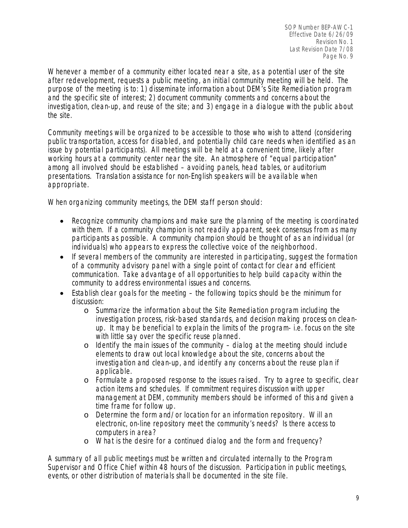Whenever a member of a community either located near a site, as a potential user of the site after redevelopment, requests a public meeting, an initial community meeting will be held. The purpose of the meeting is to: 1) disseminate information about DEM's Site Remediation program and the specific site of interest; 2) document community comments and concerns about the investigation, clean-up, and reuse of the site; and 3) engage in a dialogue with the public about the site.

Community meetings will be organized to be accessible to those who wish to attend (considering public transportation, access for disabled, and potentially child care needs when identified as an issue by potential participants). All meetings will be held at a convenient time, likely after working hours at a community center near the site. An atmosphere of "equal participation" among all involved should be established – avoiding panels, head tables, or auditorium presentations. Translation assistance for non-English speakers will be available when appropriate.

When organizing community meetings, the DEM staff person should:

- Recognize community champions and make sure the planning of the meeting is coordinated with them. If a community champion is not readily apparent, seek consensus from as many participants as possible. A community champion should be thought of as an individual (or individuals) who appears to express the collective voice of the neighborhood.
- If several members of the community are interested in participating, suggest the formation of a community advisory panel with a single point of contact for clear and efficient communication. Take advantage of all opportunities to help build capacity within the community to address environmental issues and concerns.
- Establish clear goals for the meeting the following topics should be the minimum for discussion:
	- o Summarize the information about the Site Remediation program including the investigation process, risk-based standards, and decision making process on cleanup. It may be beneficial to explain the limits of the program- i.e. focus on the site with little say over the specific reuse planned.
	- o Identify the main issues of the community dialog at the meeting should include elements to draw out local knowledge about the site, concerns about the investigation and clean-up, and identify any concerns about the reuse plan if applicable.
	- o Formulate a proposed response to the issues raised. Try to agree to specific, clear action items and schedules. If commitment requires discussion with upper management at DEM, community members should be informed of this and given a time frame for follow up.
	- o Determine the form and/or location for an information repository. Will an electronic, on-line repository meet the community's needs? Is there access to computers in area?
	- o What is the desire for a continued dialog and the form and frequency?

A summary of all public meetings must be written and circulated internally to the Program Supervisor and Office Chief within 48 hours of the discussion. Participation in public meetings, events, or other distribution of materials shall be documented in the site file.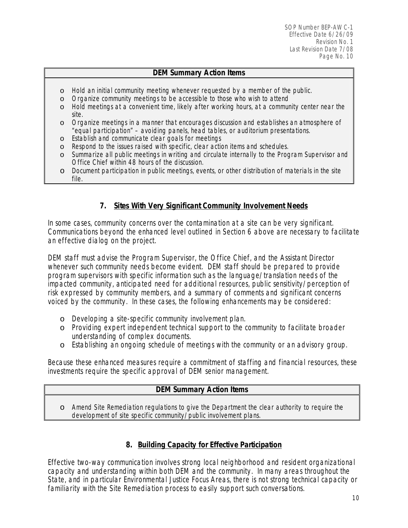## **DEM Summary Action Items**

- o Hold an initial community meeting whenever requested by a member of the public.
- o Organize community meetings to be accessible to those who wish to attend
- o Hold meetings at a convenient time, likely after working hours, at a community center near the site.
- o Organize meetings in a manner that encourages discussion and establishes an atmosphere of "equal participation" – avoiding panels, head tables, or auditorium presentations.
- o Establish and communicate clear goals for meetings
- o Respond to the issues raised with specific, clear action items and schedules.
- o Summarize all public meetings in writing and circulate internally to the Program Supervisor and Office Chief within 48 hours of the discussion.
- o Document participation in public meetings, events, or other distribution of materials in the site file.

# **7. Sites With Very Significant Community Involvement Needs**

In some cases, community concerns over the contamination at a site can be very significant. Communications beyond the enhanced level outlined in Section 6 above are necessary to facilitate an effective dialog on the project.

DEM staff must advise the Program Supervisor, the Office Chief, and the Assistant Director whenever such community needs become evident. DEM staff should be prepared to provide program supervisors with specific information such as the language/translation needs of the impacted community, anticipated need for additional resources, public sensitivity/perception of risk expressed by community members, and a summary of comments and significant concerns voiced by the community. In these cases, the following enhancements may be considered:

- o Developing a site-specific community involvement plan.
- o Providing expert independent technical support to the community to facilitate broader understanding of complex documents.
- o Establishing an ongoing schedule of meetings with the community or an advisory group.

Because these enhanced measures require a commitment of staffing and financial resources, these investments require the specific approval of DEM senior management.

### **DEM Summary Action Items**

o Amend Site Remediation regulations to give the Department the clear authority to require the development of site specific community/public involvement plans.

## **8. Building Capacity for Effective Participation**

Effective two-way communication involves strong local neighborhood and resident organizational capacity and understanding within both DEM and the community. In many areas throughout the State, and in particular Environmental Justice Focus Areas, there is not strong technical capacity or familiarity with the Site Remediation process to easily support such conversations.